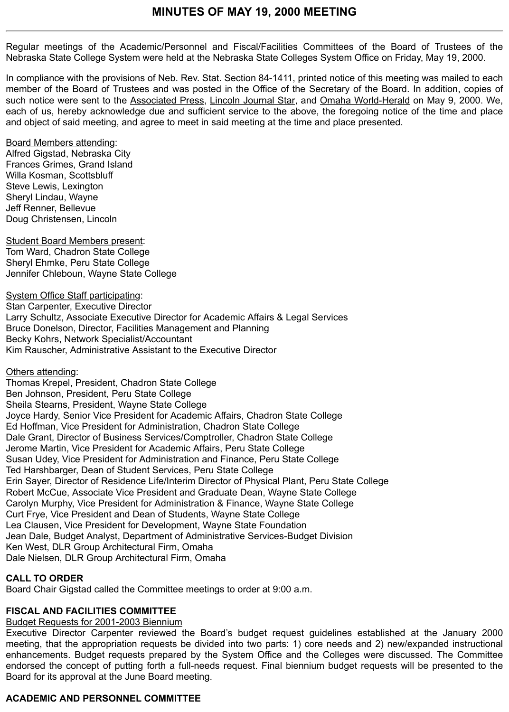Regular meetings of the Academic/Personnel and Fiscal/Facilities Committees of the Board of Trustees of the Nebraska State College System were held at the Nebraska State Colleges System Office on Friday, May 19, 2000.

In compliance with the provisions of Neb. Rev. Stat. Section 84-1411, printed notice of this meeting was mailed to each member of the Board of Trustees and was posted in the Office of the Secretary of the Board. In addition, copies of such notice were sent to the Associated Press, Lincoln Journal Star, and Omaha World-Herald on May 9, 2000. We, each of us, hereby acknowledge due and sufficient service to the above, the foregoing notice of the time and place and object of said meeting, and agree to meet in said meeting at the time and place presented.

### Board Members attending:

Alfred Gigstad, Nebraska City Frances Grimes, Grand Island Willa Kosman, Scottsbluff Steve Lewis, Lexington Sheryl Lindau, Wayne Jeff Renner, Bellevue Doug Christensen, Lincoln

Student Board Members present: Tom Ward, Chadron State College Sheryl Ehmke, Peru State College Jennifer Chleboun, Wayne State College

System Office Staff participating: Stan Carpenter, Executive Director Larry Schultz, Associate Executive Director for Academic Affairs & Legal Services Bruce Donelson, Director, Facilities Management and Planning Becky Kohrs, Network Specialist/Accountant Kim Rauscher, Administrative Assistant to the Executive Director

### Others attending:

Thomas Krepel, President, Chadron State College Ben Johnson, President, Peru State College Sheila Stearns, President, Wayne State College Joyce Hardy, Senior Vice President for Academic Affairs, Chadron State College Ed Hoffman, Vice President for Administration, Chadron State College Dale Grant, Director of Business Services/Comptroller, Chadron State College Jerome Martin, Vice President for Academic Affairs, Peru State College Susan Udey, Vice President for Administration and Finance, Peru State College Ted Harshbarger, Dean of Student Services, Peru State College Erin Sayer, Director of Residence Life/Interim Director of Physical Plant, Peru State College Robert McCue, Associate Vice President and Graduate Dean, Wayne State College Carolyn Murphy, Vice President for Administration & Finance, Wayne State College Curt Frye, Vice President and Dean of Students, Wayne State College Lea Clausen, Vice President for Development, Wayne State Foundation Jean Dale, Budget Analyst, Department of Administrative Services-Budget Division Ken West, DLR Group Architectural Firm, Omaha Dale Nielsen, DLR Group Architectural Firm, Omaha

## **CALL TO ORDER**

Board Chair Gigstad called the Committee meetings to order at 9:00 a.m.

## **FISCAL AND FACILITIES COMMITTEE**

# Budget Requests for 2001-2003 Biennium

Executive Director Carpenter reviewed the Board's budget request guidelines established at the January 2000 meeting, that the appropriation requests be divided into two parts: 1) core needs and 2) new/expanded instructional enhancements. Budget requests prepared by the System Office and the Colleges were discussed. The Committee endorsed the concept of putting forth a full-needs request. Final biennium budget requests will be presented to the Board for its approval at the June Board meeting.

# **ACADEMIC AND PERSONNEL COMMITTEE**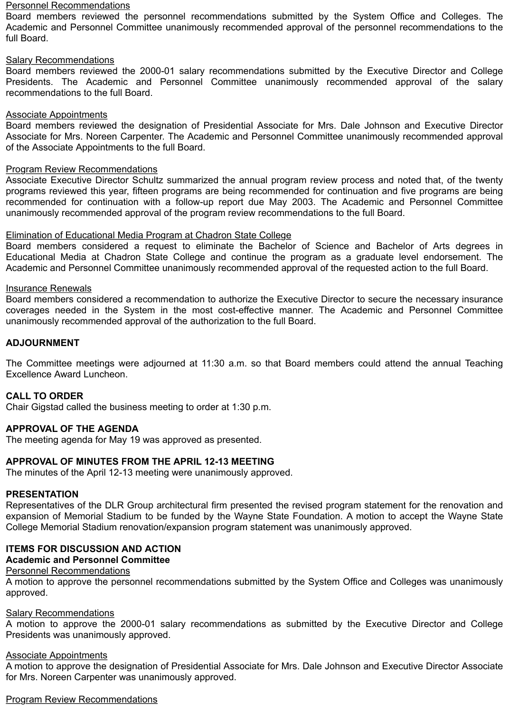#### Personnel Recommendations

Board members reviewed the personnel recommendations submitted by the System Office and Colleges. The Academic and Personnel Committee unanimously recommended approval of the personnel recommendations to the full Board.

### Salary Recommendations

Board members reviewed the 2000-01 salary recommendations submitted by the Executive Director and College Presidents. The Academic and Personnel Committee unanimously recommended approval of the salary recommendations to the full Board.

#### Associate Appointments

Board members reviewed the designation of Presidential Associate for Mrs. Dale Johnson and Executive Director Associate for Mrs. Noreen Carpenter. The Academic and Personnel Committee unanimously recommended approval of the Associate Appointments to the full Board.

### Program Review Recommendations

Associate Executive Director Schultz summarized the annual program review process and noted that, of the twenty programs reviewed this year, fifteen programs are being recommended for continuation and five programs are being recommended for continuation with a follow-up report due May 2003. The Academic and Personnel Committee unanimously recommended approval of the program review recommendations to the full Board.

### Elimination of Educational Media Program at Chadron State College

Board members considered a request to eliminate the Bachelor of Science and Bachelor of Arts degrees in Educational Media at Chadron State College and continue the program as a graduate level endorsement. The Academic and Personnel Committee unanimously recommended approval of the requested action to the full Board.

#### Insurance Renewals

Board members considered a recommendation to authorize the Executive Director to secure the necessary insurance coverages needed in the System in the most cost-effective manner. The Academic and Personnel Committee unanimously recommended approval of the authorization to the full Board.

### **ADJOURNMENT**

The Committee meetings were adjourned at 11:30 a.m. so that Board members could attend the annual Teaching Excellence Award Luncheon.

### **CALL TO ORDER**

Chair Gigstad called the business meeting to order at 1:30 p.m.

### **APPROVAL OF THE AGENDA**

The meeting agenda for May 19 was approved as presented.

### **APPROVAL OF MINUTES FROM THE APRIL 12-13 MEETING**

The minutes of the April 12-13 meeting were unanimously approved.

### **PRESENTATION**

Representatives of the DLR Group architectural firm presented the revised program statement for the renovation and expansion of Memorial Stadium to be funded by the Wayne State Foundation. A motion to accept the Wayne State College Memorial Stadium renovation/expansion program statement was unanimously approved.

### **ITEMS FOR DISCUSSION AND ACTION**

## **Academic and Personnel Committee**

## Personnel Recommendations

A motion to approve the personnel recommendations submitted by the System Office and Colleges was unanimously approved.

#### Salary Recommendations

A motion to approve the 2000-01 salary recommendations as submitted by the Executive Director and College Presidents was unanimously approved.

### Associate Appointments

A motion to approve the designation of Presidential Associate for Mrs. Dale Johnson and Executive Director Associate for Mrs. Noreen Carpenter was unanimously approved.

Program Review Recommendations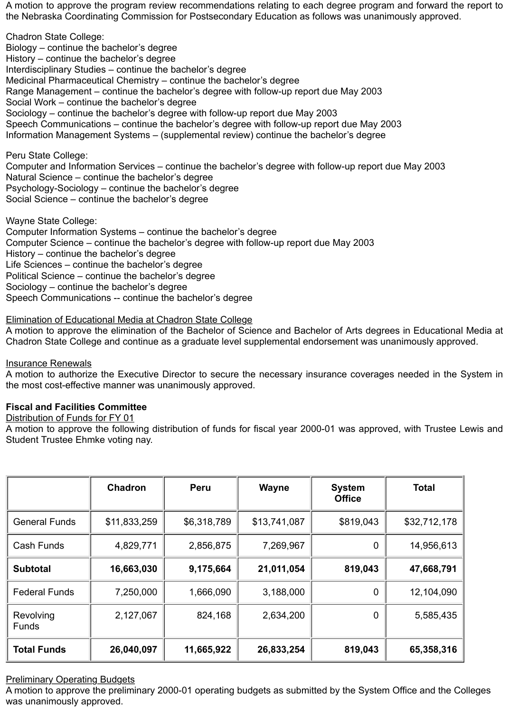A motion to approve the program review recommendations relating to each degree program and forward the report to the Nebraska Coordinating Commission for Postsecondary Education as follows was unanimously approved.

Chadron State College: Biology – continue the bachelor's degree History – continue the bachelor's degree Interdisciplinary Studies – continue the bachelor's degree Medicinal Pharmaceutical Chemistry – continue the bachelor's degree Range Management – continue the bachelor's degree with follow-up report due May 2003 Social Work – continue the bachelor's degree Sociology – continue the bachelor's degree with follow-up report due May 2003 Speech Communications – continue the bachelor's degree with follow-up report due May 2003 Information Management Systems – (supplemental review) continue the bachelor's degree

Peru State College:

Computer and Information Services – continue the bachelor's degree with follow-up report due May 2003 Natural Science – continue the bachelor's degree Psychology-Sociology – continue the bachelor's degree Social Science – continue the bachelor's degree

Wayne State College: Computer Information Systems – continue the bachelor's degree Computer Science – continue the bachelor's degree with follow-up report due May 2003 History – continue the bachelor's degree Life Sciences – continue the bachelor's degree Political Science – continue the bachelor's degree Sociology – continue the bachelor's degree Speech Communications -- continue the bachelor's degree

Elimination of Educational Media at Chadron State College

A motion to approve the elimination of the Bachelor of Science and Bachelor of Arts degrees in Educational Media at Chadron State College and continue as a graduate level supplemental endorsement was unanimously approved.

Insurance Renewals

A motion to authorize the Executive Director to secure the necessary insurance coverages needed in the System in the most cost-effective manner was unanimously approved.

### **Fiscal and Facilities Committee**

Distribution of Funds for FY 01

A motion to approve the following distribution of funds for fiscal year 2000-01 was approved, with Trustee Lewis and Student Trustee Ehmke voting nay.

|                           | <b>Chadron</b> | <b>Peru</b> | <b>Wayne</b> | <b>System</b><br><b>Office</b> | <b>Total</b> |
|---------------------------|----------------|-------------|--------------|--------------------------------|--------------|
| <b>General Funds</b>      | \$11,833,259   | \$6,318,789 | \$13,741,087 | \$819,043                      | \$32,712,178 |
| Cash Funds                | 4,829,771      | 2,856,875   | 7,269,967    | $\overline{0}$                 | 14,956,613   |
| <b>Subtotal</b>           | 16,663,030     | 9,175,664   | 21,011,054   | 819,043                        | 47,668,791   |
| <b>Federal Funds</b>      | 7,250,000      | 1,666,090   | 3,188,000    | $\mathbf 0$                    | 12,104,090   |
| Revolving<br><b>Funds</b> | 2,127,067      | 824,168     | 2,634,200    | $\overline{0}$                 | 5,585,435    |
| <b>Total Funds</b>        | 26,040,097     | 11,665,922  | 26,833,254   | 819,043                        | 65,358,316   |

### **Preliminary Operating Budgets**

A motion to approve the preliminary 2000-01 operating budgets as submitted by the System Office and the Colleges was unanimously approved.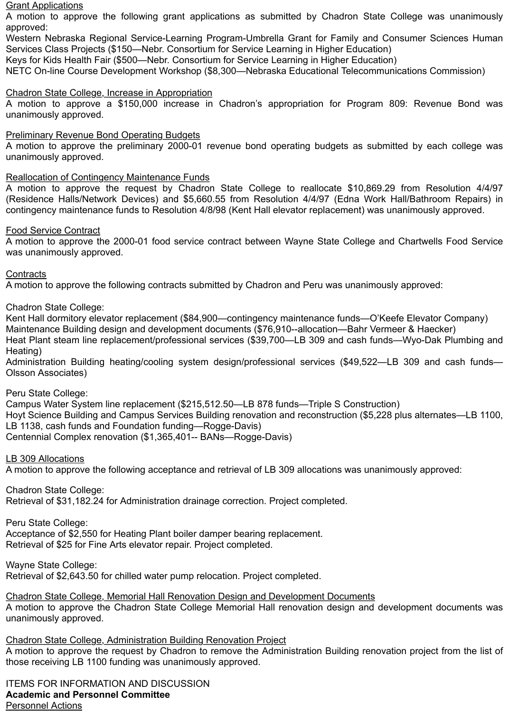#### **Grant Applications**

A motion to approve the following grant applications as submitted by Chadron State College was unanimously approved:

Western Nebraska Regional Service-Learning Program-Umbrella Grant for Family and Consumer Sciences Human Services Class Projects (\$150—Nebr. Consortium for Service Learning in Higher Education)

Keys for Kids Health Fair (\$500—Nebr. Consortium for Service Learning in Higher Education)

NETC On-line Course Development Workshop (\$8,300—Nebraska Educational Telecommunications Commission)

### Chadron State College, Increase in Appropriation

A motion to approve a \$150,000 increase in Chadron's appropriation for Program 809: Revenue Bond was unanimously approved.

### Preliminary Revenue Bond Operating Budgets

A motion to approve the preliminary 2000-01 revenue bond operating budgets as submitted by each college was unanimously approved.

### Reallocation of Contingency Maintenance Funds

A motion to approve the request by Chadron State College to reallocate \$10,869.29 from Resolution 4/4/97 (Residence Halls/Network Devices) and \$5,660.55 from Resolution 4/4/97 (Edna Work Hall/Bathroom Repairs) in contingency maintenance funds to Resolution 4/8/98 (Kent Hall elevator replacement) was unanimously approved.

### Food Service Contract

A motion to approve the 2000-01 food service contract between Wayne State College and Chartwells Food Service was unanimously approved.

### **Contracts**

A motion to approve the following contracts submitted by Chadron and Peru was unanimously approved:

Chadron State College:

Kent Hall dormitory elevator replacement (\$84,900—contingency maintenance funds—O'Keefe Elevator Company) Maintenance Building design and development documents (\$76,910--allocation—Bahr Vermeer & Haecker) Heat Plant steam line replacement/professional services (\$39,700—LB 309 and cash funds—Wyo-Dak Plumbing and Heating)

Administration Building heating/cooling system design/professional services (\$49,522—LB 309 and cash funds— Olsson Associates)

Peru State College:

Campus Water System line replacement (\$215,512.50—LB 878 funds—Triple S Construction) Hoyt Science Building and Campus Services Building renovation and reconstruction (\$5,228 plus alternates—LB 1100, LB 1138, cash funds and Foundation funding—Rogge-Davis) Centennial Complex renovation (\$1,365,401-- BANs—Rogge-Davis)

### LB 309 Allocations

A motion to approve the following acceptance and retrieval of LB 309 allocations was unanimously approved:

Chadron State College: Retrieval of \$31,182.24 for Administration drainage correction. Project completed.

Peru State College: Acceptance of \$2,550 for Heating Plant boiler damper bearing replacement. Retrieval of \$25 for Fine Arts elevator repair. Project completed.

Wayne State College:

Retrieval of \$2,643.50 for chilled water pump relocation. Project completed.

Chadron State College, Memorial Hall Renovation Design and Development Documents A motion to approve the Chadron State College Memorial Hall renovation design and development documents was unanimously approved.

Chadron State College, Administration Building Renovation Project A motion to approve the request by Chadron to remove the Administration Building renovation project from the list of those receiving LB 1100 funding was unanimously approved.

ITEMS FOR INFORMATION AND DISCUSSION **Academic and Personnel Committee** Personnel Actions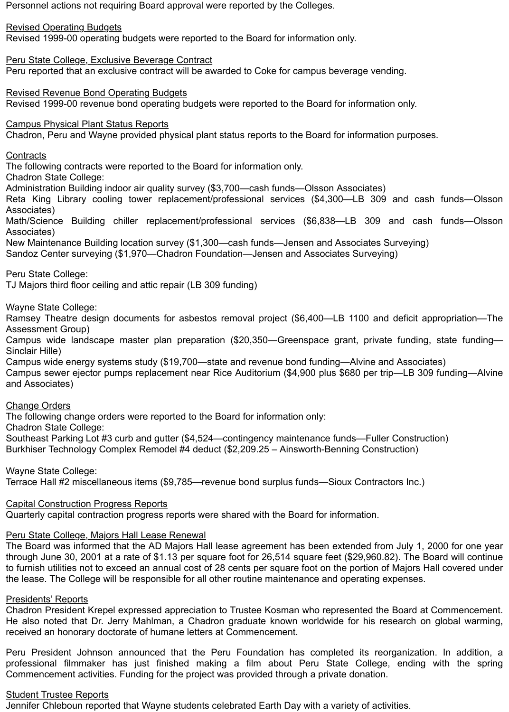Personnel actions not requiring Board approval were reported by the Colleges.

Revised Operating Budgets

Revised 1999-00 operating budgets were reported to the Board for information only.

Peru State College, Exclusive Beverage Contract Peru reported that an exclusive contract will be awarded to Coke for campus beverage vending.

Revised Revenue Bond Operating Budgets Revised 1999-00 revenue bond operating budgets were reported to the Board for information only.

Campus Physical Plant Status Reports

Chadron, Peru and Wayne provided physical plant status reports to the Board for information purposes.

### **Contracts**

The following contracts were reported to the Board for information only.

Chadron State College:

Administration Building indoor air quality survey (\$3,700—cash funds—Olsson Associates)

Reta King Library cooling tower replacement/professional services (\$4,300—LB 309 and cash funds—Olsson Associates)

Math/Science Building chiller replacement/professional services (\$6,838—LB 309 and cash funds—Olsson Associates)

New Maintenance Building location survey (\$1,300—cash funds—Jensen and Associates Surveying)

Sandoz Center surveying (\$1,970—Chadron Foundation—Jensen and Associates Surveying)

Peru State College:

TJ Majors third floor ceiling and attic repair (LB 309 funding)

Wayne State College:

Ramsey Theatre design documents for asbestos removal project (\$6,400—LB 1100 and deficit appropriation—The Assessment Group)

Campus wide landscape master plan preparation (\$20,350—Greenspace grant, private funding, state funding— Sinclair Hille)

Campus wide energy systems study (\$19,700—state and revenue bond funding—Alvine and Associates) Campus sewer ejector pumps replacement near Rice Auditorium (\$4,900 plus \$680 per trip—LB 309 funding—Alvine and Associates)

### Change Orders

The following change orders were reported to the Board for information only:

Chadron State College:

Southeast Parking Lot #3 curb and gutter (\$4,524—contingency maintenance funds—Fuller Construction) Burkhiser Technology Complex Remodel #4 deduct (\$2,209.25 – Ainsworth-Benning Construction)

Wayne State College:

Terrace Hall #2 miscellaneous items (\$9,785—revenue bond surplus funds—Sioux Contractors Inc.)

### Capital Construction Progress Reports

Quarterly capital contraction progress reports were shared with the Board for information.

### Peru State College, Majors Hall Lease Renewal

The Board was informed that the AD Majors Hall lease agreement has been extended from July 1, 2000 for one year through June 30, 2001 at a rate of \$1.13 per square foot for 26,514 square feet (\$29,960.82). The Board will continue to furnish utilities not to exceed an annual cost of 28 cents per square foot on the portion of Majors Hall covered under the lease. The College will be responsible for all other routine maintenance and operating expenses.

### Presidents' Reports

Chadron President Krepel expressed appreciation to Trustee Kosman who represented the Board at Commencement. He also noted that Dr. Jerry Mahlman, a Chadron graduate known worldwide for his research on global warming, received an honorary doctorate of humane letters at Commencement.

Peru President Johnson announced that the Peru Foundation has completed its reorganization. In addition, a professional filmmaker has just finished making a film about Peru State College, ending with the spring Commencement activities. Funding for the project was provided through a private donation.

### Student Trustee Reports

Jennifer Chleboun reported that Wayne students celebrated Earth Day with a variety of activities.